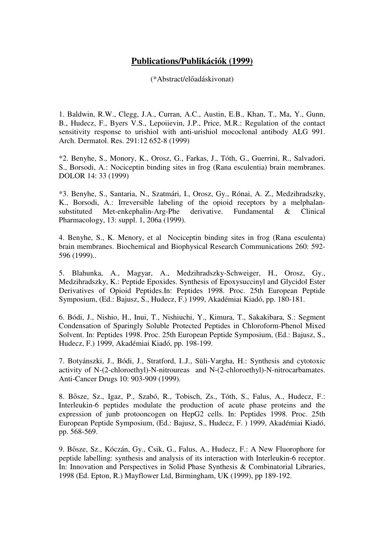## **Publications/Publikációk (1999)**

(\*Abstract/előadáskivonat)

1. Baldwin, R.W., Clegg, J.A., Curran, A.C., Austin, E.B., Khan, T., Ma, Y., Gunn, B., Hudecz, F., Byers V.S., Lepoiievin, J.P., Price, M.R.: Regulation of the contact sensitivity response to urishiol with anti-urishiol mococlonal antibody ALG 991. Arch. Dermatol. Res. 291:12 652-8 (1999)

\*2. Benyhe, S., Monory, K., Orosz, G., Farkas, J., Tóth, G., Guerrini, R., Salvadori, S., Borsodi, A.: Nociceptin binding sites in frog (Rana esculentia) brain membranes. DOLOR 14: 33 (1999)

\*3. Benyhe, S., Santaria, N., Szatmári, I., Orosz, Gy., Rónai, A. Z., Medzihradszky, K., Borsodi, A.: Irreversible labeling of the opioid receptors by a melphalansubstituted Met-enkephalin-Arg-Phe derivative. Fundamental & Clinical Pharmacology, 13: suppl. 1, 206a (1999).

4. Benyhe, S., K. Menory, et al Nociceptin binding sites in frog (Rana esculenta) brain membranes. Biochemical and Biophysical Research Communications 260: 592- 596 (1999)..

5. Blahunka, A., Magyar, A., Medzihradszky-Schweiger, H., Orosz, Gy., Medzihradszky, K.: Peptide Epoxides. Synthesis of Epoxysuccinyl and Glycidol Ester Derivatives of Opioid Peptides.In: Peptides 1998. Proc. 25th European Peptide Symposium, (Ed.: Bajusz, S., Hudecz, F.) 1999, Akadémiai Kiadó, pp. 180-181.

6. Bódi, J., Nishio, H., Inui, T., Nishiuchi, Y., Kimura, T., Sakakibara, S.: Segment Condensation of Sparingly Soluble Protected Peptides in Chloroform-Phenol Mixed Solvent. In: Peptides 1998. Proc. 25th European Peptide Symposium, (Ed.: Bajusz, S., Hudecz, F.) 1999, Akadémiai Kiadó, pp. 198-199.

7. Botyánszki, J., Bódi, J., Stratford, I..J., Süli-Vargha, H.: Synthesis and cytotoxic activity of N-(2-chloroethyl)-N-nitroureas and N-(2-chloroethyl)-N-nitrocarbamates. Anti-Cancer Drugs 10: 903-909 (1999).

8. Bősze, Sz., Igaz, P., Szabó, R., Tobisch, Zs., Tóth, S., Falus, A., Hudecz, F.: Interleukin-6 peptides modulate the production of acute phase proteins and the expression of junb protooncogen on HepG2 cells. In: Peptides 1998. Proc. 25th European Peptide Symposium, (Ed.: Bajusz, S., Hudecz, F. ) 1999, Akadémiai Kiadó, pp. 568-569.

9. Bősze, Sz., Kóczán, Gy., Csik, G., Falus, A., Hudecz, F.: A New Fluorophore for peptide labelling: synthesis and analysis of its interaction with Interleukin-6 receptor. In: Innovation and Perspectives in Solid Phase Synthesis & Combinatorial Libraries, 1998 (Ed. Epton, R.) Mayflower Ltd, Birmingham, UK (1999), pp 189-192.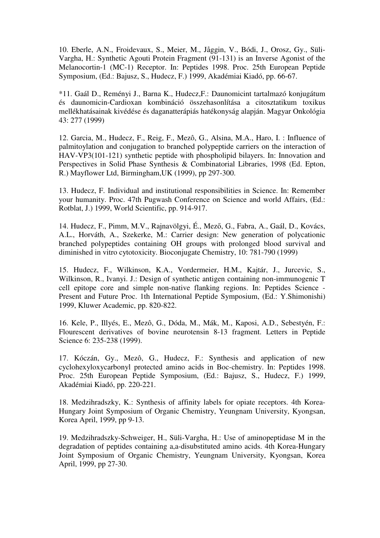10. Eberle, A.N., Froidevaux, S., Meier, M., Jåggin, V., Bódi, J., Orosz, Gy., Süli-Vargha, H.: Synthetic Agouti Protein Fragment (91-131) is an Inverse Agonist of the Melanocortin-1 (MC-1) Receptor. In: Peptides 1998. Proc. 25th European Peptide Symposium, (Ed.: Bajusz, S., Hudecz, F.) 1999, Akadémiai Kiadó, pp. 66-67.

\*11. Gaál D., Reményi J., Barna K., Hudecz,F.: Daunomicint tartalmazó konjugátum és daunomicin-Cardioxan kombináció összehasonlítása a citosztatikum toxikus mellékhatásainak kivédése és daganatterápiás hatékonyság alapján. Magyar Onkológia 43: 277 (1999)

12. Garcia, M., Hudecz, F., Reig, F., Mezô, G., Alsina, M.A., Haro, I. : Influence of palmitoylation and conjugation to branched polypeptide carriers on the interaction of HAV-VP3(101-121) synthetic peptide with phospholipid bilayers. In: Innovation and Perspectives in Solid Phase Synthesis & Combinatorial Libraries, 1998 (Ed. Epton, R.) Mayflower Ltd, Birmingham,UK (1999), pp 297-300.

13. Hudecz, F. Individual and institutional responsibilities in Science. In: Remember your humanity. Proc. 47th Pugwash Conference on Science and world Affairs, (Ed.: Rotblat, J.) 1999, World Scientific, pp. 914-917.

14. Hudecz, F., Pimm, M.V., Rajnavölgyi, É., Mező, G., Fabra, A., Gaál, D., Kovács, A.L., Horváth, A., Szekerke, M.: Carrier design: New generation of polycationic branched polypeptides containing OH groups with prolonged blood survival and diminished in vitro cytotoxicity. Bioconjugate Chemistry, 10: 781-790 (1999)

15. Hudecz, F., Wilkinson, K.A., Vordermeier, H.M., Kajtár, J., Jurcevic, S., Wilkinson, R., Ivanyi. J.: Design of synthetic antigen containing non-immunogenic T cell epitope core and simple non-native flanking regions. In: Peptides Science - Present and Future Proc. 1th International Peptide Symposium, (Ed.: Y.Shimonishi) 1999, Kluwer Academic, pp. 820-822.

16. Kele, P., Illyés, E., Mezô, G., Dóda, M., Mák, M., Kaposi, A.D., Sebestyén, F.: Flourescent derivatives of bovine neurotensin 8-13 fragment. Letters in Peptide Science 6: 235-238 (1999).

17. Kóczán, Gy., Mezô, G., Hudecz, F.: Synthesis and application of new cyclohexyloxycarbonyl protected amino acids in Boc-chemistry. In: Peptides 1998. Proc. 25th European Peptide Symposium, (Ed.: Bajusz, S., Hudecz, F.) 1999, Akadémiai Kiadó, pp. 220-221.

18. Medzihradszky, K.: Synthesis of affinity labels for opiate receptors. 4th Korea-Hungary Joint Symposium of Organic Chemistry, Yeungnam University, Kyongsan, Korea April, 1999, pp 9-13.

19. Medzihradszky-Schweiger, H., Süli-Vargha, H.: Use of aminopeptidase M in the degradation of peptides containing a,a-disubstituted amino acids. 4th Korea-Hungary Joint Symposium of Organic Chemistry, Yeungnam University, Kyongsan, Korea April, 1999, pp 27-30.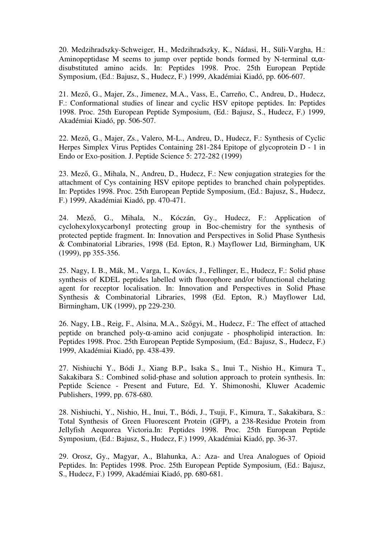20. Medzihradszky-Schweiger, H., Medzihradszky, K., Nádasi, H., Süli-Vargha, H.: Aminopeptidase M seems to jump over peptide bonds formed by N-terminal  $\alpha$ , $\alpha$ disubstituted amino acids. In: Peptides 1998. Proc. 25th European Peptide Symposium, (Ed.: Bajusz, S., Hudecz, F.) 1999, Akadémiai Kiadó, pp. 606-607.

21. Mező, G., Majer, Zs., Jimenez, M.A., Vass, E., Carreño, C., Andreu, D., Hudecz, F.: Conformational studies of linear and cyclic HSV epitope peptides. In: Peptides 1998. Proc. 25th European Peptide Symposium, (Ed.: Bajusz, S., Hudecz, F.) 1999, Akadémiai Kiadó, pp. 506-507.

22. Mező, G., Majer, Zs., Valero, M-L., Andreu, D., Hudecz, F.: Synthesis of Cyclic Herpes Simplex Virus Peptides Containing 281-284 Epitope of glycoprotein D - 1 in Endo or Exo-position. J. Peptide Science 5: 272-282 (1999)

23. Mező, G., Mihala, N., Andreu, D., Hudecz, F.: New conjugation strategies for the attachment of Cys containing HSV epitope peptides to branched chain polypeptides. In: Peptides 1998. Proc. 25th European Peptide Symposium, (Ed.: Bajusz, S., Hudecz, F.) 1999, Akadémiai Kiadó, pp. 470-471.

24. Mező, G., Mihala, N., Kóczán, Gy., Hudecz, F.: Application of cyclohexyloxycarbonyl protecting group in Boc-chemistry for the synthesis of protected peptide fragment. In: Innovation and Perspectives in Solid Phase Synthesis & Combinatorial Libraries, 1998 (Ed. Epton, R.) Mayflower Ltd, Birmingham, UK (1999), pp 355-356.

25. Nagy, I. B., Mák, M., Varga, I., Kovács, J., Fellinger, E., Hudecz, F.: Solid phase synthesis of KDEL peptides labelled with fluorophore and/or bifunctional chelating agent for receptor localisation. In: Innovation and Perspectives in Solid Phase Synthesis & Combinatorial Libraries, 1998 (Ed. Epton, R.) Mayflower Ltd, Birmingham, UK (1999), pp 229-230.

26. Nagy, I.B., Reig, F., Alsina, M.A., Szőgyi, M., Hudecz, F.: The effect of attached peptide on branched poly-α-amino acid conjugate - phospholipid interaction. In: Peptides 1998. Proc. 25th European Peptide Symposium, (Ed.: Bajusz, S., Hudecz, F.) 1999, Akadémiai Kiadó, pp. 438-439.

27. Nishiuchi Y., Bódi J., Xiang B.P., Isaka S., Inui T., Nishio H., Kimura T., Sakakibara S.: Combined solid-phase and solution approach to protein synthesis. In: Peptide Science - Present and Future, Ed. Y. Shimonoshi, Kluwer Academic Publishers, 1999, pp. 678-680.

28. Nishiuchi, Y., Nishio, H., Inui, T., Bódi, J., Tsuji, F., Kimura, T., Sakakibara, S.: Total Synthesis of Green Fluorescent Protein (GFP), a 238-Residue Protein from Jellyfish Aequorea Victoria.In: Peptides 1998. Proc. 25th European Peptide Symposium, (Ed.: Bajusz, S., Hudecz, F.) 1999, Akadémiai Kiadó, pp. 36-37.

29. Orosz, Gy., Magyar, A., Blahunka, A.: Aza- and Urea Analogues of Opioid Peptides. In: Peptides 1998. Proc. 25th European Peptide Symposium, (Ed.: Bajusz, S., Hudecz, F.) 1999, Akadémiai Kiadó, pp. 680-681.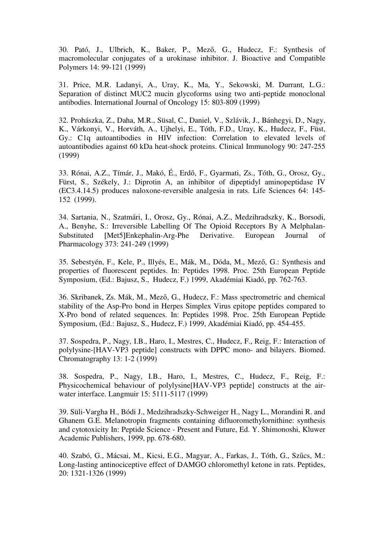30. Pató, J., Ulbrich, K., Baker, P., Mező, G., Hudecz, F.: Synthesis of macromolecular conjugates of a urokinase inhibitor. J. Bioactive and Compatible Polymers 14: 99-121 (1999)

31. Price, M.R. Ladanyi, A., Uray, K., Ma, Y., Sekowski, M. Durrant, L.G.: Separation of distinct MUC2 mucin glycoforms using two anti-peptide monoclonal antibodies. International Journal of Oncology 15: 803-809 (1999)

32. Prohászka, Z., Daha, M.R., Süsal, C., Daniel, V., Szlávik, J., Bánhegyi, D., Nagy, K., Várkonyi, V., Horváth, A., Ujhelyi, E., Tóth, F.D., Uray, K., Hudecz, F., Füst, Gy.: C1q autoantibodies in HIV infection: Correlation to elevated levels of autoantibodies against 60 kDa heat-shock proteins. Clinical Immunology 90: 247-255 (1999)

33. Rónai, A.Z., Tímár, J., Makó, É., Erdő, F., Gyarmati, Zs., Tóth, G., Orosz, Gy., Fürst, S., Székely, J.: Diprotin A, an inhibitor of dipeptidyl aminopeptidase IV (EC3.4.14.5) produces naloxone-reversible analgesia in rats. Life Sciences 64: 145- 152 (1999).

34. Sartania, N., Szatmári, I., Orosz, Gy., Rónai, A.Z., Medzihradszky, K., Borsodi, A., Benyhe, S.: Irreversible Labelling Of The Opioid Receptors By A Melphalan-Substituted [Met5]Enkephalin-Arg-Phe Derivative. European Journal of Pharmacology 373: 241-249 (1999)

35. Sebestyén, F., Kele, P., Illyés, E., Mák, M., Dóda, M., Mező, G.: Synthesis and properties of fluorescent peptides. In: Peptides 1998. Proc. 25th European Peptide Symposium, (Ed.: Bajusz, S., Hudecz, F.) 1999, Akadémiai Kiadó, pp. 762-763.

36. Skribanek, Zs. Mák, M., Mező, G., Hudecz, F.: Mass spectrometric and chemical stability of the Asp-Pro bond in Herpes Simplex Virus epitope peptides compared to X-Pro bond of related sequences. In: Peptides 1998. Proc. 25th European Peptide Symposium, (Ed.: Bajusz, S., Hudecz, F.) 1999, Akadémiai Kiadó, pp. 454-455.

37. Sospedra, P., Nagy, I.B., Haro, I., Mestres, C., Hudecz, F., Reig, F.: Interaction of polylysine-[HAV-VP3 peptide] constructs with DPPC mono- and bilayers. Biomed. Chromatography 13: 1-2 (1999)

38. Sospedra, P., Nagy, I.B., Haro, I., Mestres, C., Hudecz, F., Reig, F.: Physicochemical behaviour of polylysine[HAV-VP3 peptide] constructs at the airwater interface. Langmuir 15: 5111-5117 (1999)

39. Süli-Vargha H., Bódi J., Medzihradszky-Schweiger H., Nagy L., Morandini R. and Ghanem G.E. Melanotropin fragments containing difluoromethylornithine: synthesis and cytotoxicity In: Peptide Science - Present and Future, Ed. Y. Shimonoshi, Kluwer Academic Publishers, 1999, pp. 678-680.

40. Szabó, G., Mácsai, M., Kicsi, E.G., Magyar, A., Farkas, J., Tóth, G., Szűcs, M.: Long-lasting antinociceptive effect of DAMGO chloromethyl ketone in rats. Peptides, 20: 1321-1326 (1999)